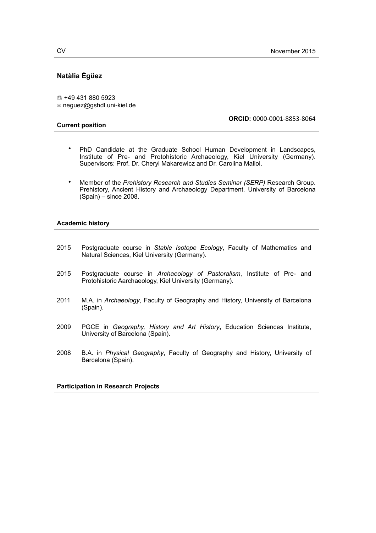# **Natàlia Égüez**

☏ +49 431 880 5923 ✉ neguez@gshdl.uni-kiel.de

#### **Current position**

**ORCID:** 0000-0001-8853-8064

- PhD Candidate at the Graduate School Human Development in Landscapes, Institute of Pre- and Protohistoric Archaeology, Kiel University (Germany). Supervisors: Prof. Dr. Cheryl Makarewicz and Dr. Carolina Mallol.
- Member of the *Prehistory Research and Studies Seminar (SERP)* Research Group. Prehistory, Ancient History and Archaeology Department. University of Barcelona (Spain) – since 2008.

#### **Academic history**

- 2015 Postgraduate course in *Stable Isotope Ecology*, Faculty of Mathematics and Natural Sciences, Kiel University (Germany).
- 2015 Postgraduate course in *Archaeology of Pastoralism*, Institute of Pre- and Protohistoric Aarchaeology, Kiel University (Germany).
- 2011 M.A. in *Archaeology*, Faculty of Geography and History, University of Barcelona (Spain).
- 2009 PGCE in *Geography, History and Art History***,** Education Sciences Institute, University of Barcelona (Spain).
- 2008 B.A. in *Physical Geography*, Faculty of Geography and History, University of Barcelona (Spain).

## **Participation in Research Projects**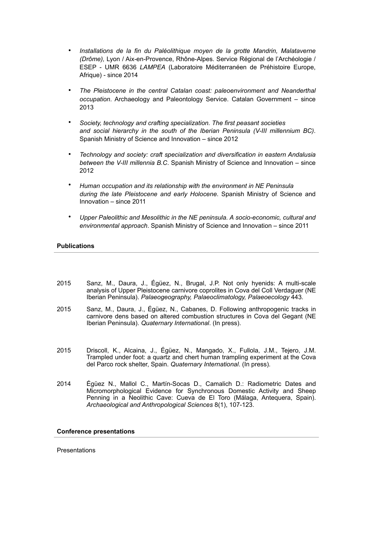- *Installations de la fin du Paléolithique moyen de la grotte Mandrin, Malataverne (Drôme),* Lyon / Aix-en-Provence, Rhône-Alpes. Service Régional de l'Archéologie / ESEP - UMR 6636 *LAMPEA* (Laboratoire Méditerranéen de Préhistoire Europe, Afrique) - since 2014
- *The Pleistocene in the central Catalan coast: paleoenvironment and Neanderthal occupation*. Archaeology and Paleontology Service. Catalan Government – since 2013
- *Society, technology and crafting specialization. The first peasant societies and social hierarchy in the south of the Iberian Peninsula (V-III millennium BC)*. Spanish Ministry of Science and Innovation – since 2012
- *Technology and society: craft specialization and diversification in eastern Andalusia between the V-III millennia B.C*. Spanish Ministry of Science and Innovation – since 2012
- *Human occupation and its relationship with the environment in NE Peninsula during the late Pleistocene and early Holocene*. Spanish Ministry of Science and Innovation – since 2011
- *Upper Paleolithic and Mesolithic in the NE peninsula. A socio-economic, cultural and environmental approach*. Spanish Ministry of Science and Innovation – since 2011

## **Publications**

- 2015 Sanz, M., Daura, J., Égüez, N., Brugal, J.P. Not only hyenids: A multi-scale analysis of Upper Pleistocene carnivore coprolites in Cova del Coll Verdaguer (NE Iberian Peninsula). *Palaeogeography, Palaeoclimatology, Palaeoecology* 443*.*
- 2015 Sanz, M., Daura, J., Égüez, N., Cabanes, D. Following anthropogenic tracks in carnivore dens based on altered combustion structures in Cova del Gegant (NE Iberian Peninsula). *Quaternary International*. (In press).
- 2015 Driscoll, K., Alcaina, J., Égüez, N., Mangado, X., Fullola, J.M., Tejero, J.M. Trampled under foot: a quartz and chert human trampling experiment at the Cova del Parco rock shelter, Spain. *Quaternary International*. (In press).
- 2014 Égüez N., Mallol C., Martín-Socas D., Camalich D.: Radiometric Dates and Micromorphological Evidence for Synchronous Domestic Activity and Sheep Penning in a Neolithic Cave: Cueva de El Toro (Málaga, Antequera, Spain). *Archaeological and Anthropological Sciences* 8(1), 107-123.

#### **Conference presentations**

**Presentations**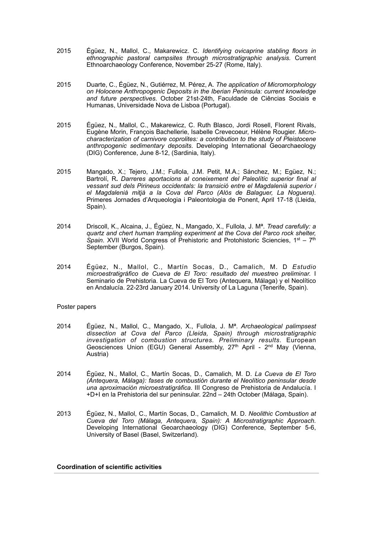- 2015 Égüez, N., Mallol, C., Makarewicz. C. *Identifying ovicaprine stabling floors in ethnographic pastoral campsites through microstratigraphic analysis.* Current Ethnoarchaeology Conference, November 25-27 (Rome, Italy).
- 2015 Duarte, C., Égüez, N., Gutiérrez, M. Pérez, A. *The application of Micromorphology on Holocene Anthropogenic Deposits in the Iberian Peninsula: current knowledge and future perspectives.* October 21st-24th, Faculdade de Ciências Sociais e Humanas, Universidade Nova de Lisboa (Portugal).
- 2015 Égüez, N., Mallol, C., Makarewicz, C. Ruth Blasco, Jordi Rosell, Florent Rivals, Eugène Morin, François Bachellerie, Isabelle Crevecoeur, Hélène Rougier. *Microcharacterization of carnivore coprolites: a contribution to the study of Pleistocene anthropogenic sedimentary deposits*. Developing International Geoarchaeology (DIG) Conference, June 8-12, (Sardinia, Italy).
- 2015 Mangado, X.; Tejero, J.M.; Fullola, J.M. Petit, M.A.; Sánchez, M.; Egüez, N.; Bartrolí, R**.** *Darreres aportacions al coneixement del Paleolític superior final al vessant sud dels Pirineus occidentals: la transició entre el Magdalenià superior i el Magdalenià mitjà a la Cova del Parco (Alòs de Balaguer, La Noguera).* Primeres Jornades d'Arqueologia i Paleontologia de Ponent, April 17-18 (Lleida, Spain).
- 2014 Driscoll, K., Alcaina, J., Égüez, N., Mangado, X., Fullola, J. Mª. *Tread carefully: a quartz and chert human trampling experiment at the Cova del Parco rock shelter, Spain*. XVII World Congress of Prehistoric and Protohistoric Sciencies, 1st – 7th September (Burgos, Spain).
- 2014 Égüez, N., Mallol, C., Martín Socas, D., Camalich, M. D *Estudio microestratigráfico de Cueva de El Toro: resultado del muestreo preliminar.* I Seminario de Prehistoria. La Cueva de El Toro (Antequera, Málaga) y el Neolítico en Andalucía. 22-23rd January 2014. University of La Laguna (Tenerife, Spain).

## Poster papers

- 2014 Égüez, N., Mallol, C., Mangado, X., Fullola, J. Mª. *Archaeological palimpsest dissection at Cova del Parco (Lleida, Spain) through microstratigraphic investigation of combustion structures. Preliminary results*. European Geosciences Union (EGU) General Assembly, 27th April - 2nd May (Vienna, Austria)
- 2014 Égüez, N., Mallol, C., Martín Socas, D., Camalich, M. D. *La Cueva de El Toro (Antequera, Málaga): fases de combustión durante el Neolítico peninsular desde una aproximación microestratigráfica*. III Congreso de Prehistoria de Andalucía. I +D+I en la Prehistoria del sur peninsular. 22nd – 24th October (Málaga, Spain).
- 2013 Égüez, N., Mallol, C., Martín Socas, D., Camalich, M. D. *Neolithic Combustion at Cueva del Toro (Málaga, Antequera, Spain): A Microstratigraphic Approach.* Developing International Geoarchaeology (DIG) Conference, September 5-6, University of Basel (Basel, Switzerland).

#### **Coordination of scientific activities**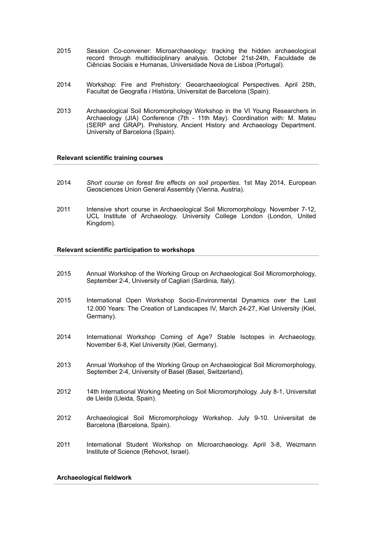- 2015 Session Co-convener: Microarchaeology: tracking the hidden archaeological record through multidisciplinary analysis. October 21st-24th, Faculdade de Ciências Sociais e Humanas, Universidade Nova de Lisboa (Portugal).
- 2014 Workshop: Fire and Prehistory: Geoarchaeological Perspectives. April 25th, Facultat de Geografia i Història, Universitat de Barcelona (Spain).
- 2013 Archaeological Soil Micromorphology Workshop in the VI Young Researchers in Archaeology (JIA) Conference (7th - 11th May). Coordination with: M. Mateu (SERP and GRAP). Prehistory, Ancient History and Archaeology Department. University of Barcelona (Spain).

## **Relevant scientific training courses**

- 2014 *Short course on forest fire effects on soil properties*. 1st May 2014, European Geosciences Union General Assembly (Vienna, Austria).
- 2011 Intensive short course in Archaeological Soil Micromorphology. November 7-12, UCL Institute of Archaeology. University College London (London, United Kingdom).

#### **Relevant scientific participation to workshops**

- 2015 Annual Workshop of the Working Group on Archaeological Soil Micromorphology, September 2-4, University of Cagliari (Sardinia, Italy).
- 2015 International Open Workshop Socio-Environmental Dynamics over the Last 12.000 Years: The Creation of Landscapes IV, March 24-27, Kiel University (Kiel, Germany).
- 2014 International Workshop Coming of Age? Stable Isotopes in Archaeology, November 6-8, Kiel University (Kiel, Germany).
- 2013 Annual Workshop of the Working Group on Archaeological Soil Micromorphology, September 2-4, University of Basel (Basel, Switzerland).
- 2012 14th International Working Meeting on Soil Micromorphology. July 8-1, Universitat de Lleida (Lleida, Spain).
- 2012 Archaeological Soil Micromorphology Workshop. July 9-10. Universitat de Barcelona (Barcelona, Spain).
- 2011 International Student Workshop on Microarchaeology. April 3-8, Weizmann Institute of Science (Rehovot, Israel).

## **Archaeological fieldwork**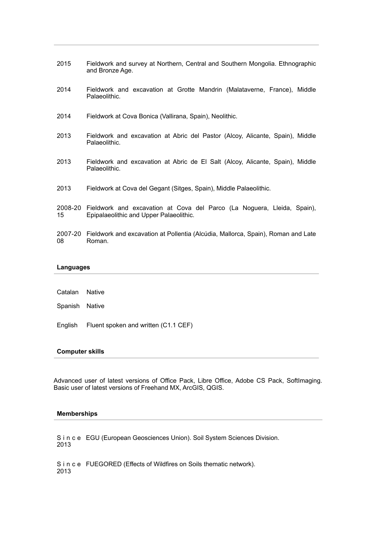- 2015 Fieldwork and survey at Northern, Central and Southern Mongolia. Ethnographic and Bronze Age.
- 2014 Fieldwork and excavation at Grotte Mandrin (Malataverne, France), Middle Palaeolithic.
- 2014 Fieldwork at Cova Bonica (Vallirana, Spain), Neolithic.
- 2013 Fieldwork and excavation at Abric del Pastor (Alcoy, Alicante, Spain), Middle Palaeolithic.
- 2013 Fieldwork and excavation at Abric de El Salt (Alcoy, Alicante, Spain), Middle Palaeolithic.
- 2013 Fieldwork at Cova del Gegant (Sitges, Spain), Middle Palaeolithic.
- 2008-20 15 Fieldwork and excavation at Cova del Parco (La Noguera, Lleida, Spain), Epipalaeolithic and Upper Palaeolithic.
- 2007-20 Fieldwork and excavation at Pollentia (Alcúdia, Mallorca, Spain), Roman and Late 08 Roman.

#### **Languages**

| Catalan Native |                                              |
|----------------|----------------------------------------------|
| Spanish Native |                                              |
|                | English Fluent spoken and written (C1.1 CEF) |

#### **Computer skills**

Advanced user of latest versions of Office Pack, Libre Office, Adobe CS Pack, SoftImaging. Basic user of latest versions of Freehand MX, ArcGIS, QGIS.

## **Memberships**

S i n c e EGU (European Geosciences Union). Soil System Sciences Division. 2013

S i n c e FUEGORED (Effects of Wildfires on Soils thematic network).2013